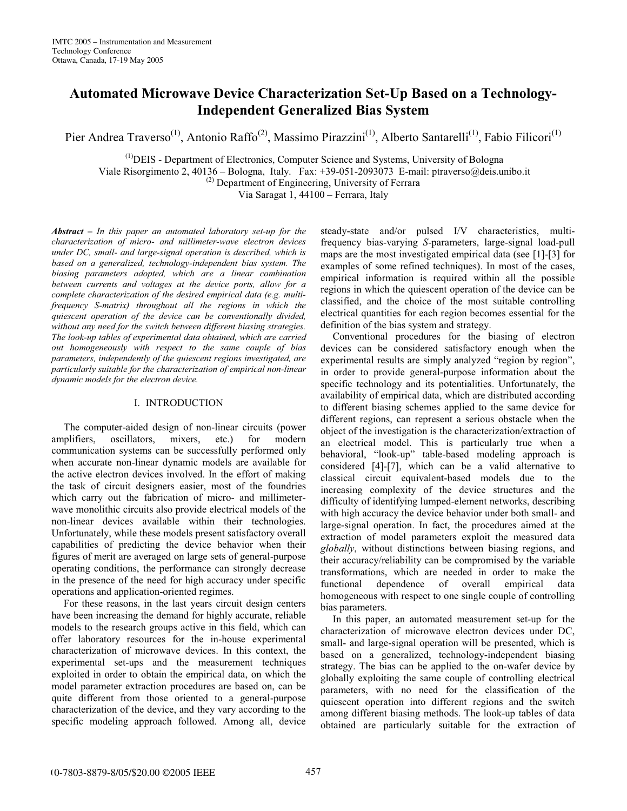# **Automated Microwave Device Characterization Set-Up Based on a Technology-Independent Generalized Bias System**

Pier Andrea Traverso<sup>(1)</sup>, Antonio Raffo<sup>(2)</sup>, Massimo Pirazzini<sup>(1)</sup>, Alberto Santarelli<sup>(1)</sup>, Fabio Filicori<sup>(1)</sup>

(1)DEIS - Department of Electronics, Computer Science and Systems, University of Bologna

Viale Risorgimento 2, 40136 – Bologna, Italy. Fax: +39-051-2093073 E-mail: ptraverso@deis.unibo.it

(2) Department of Engineering, University of Ferrara

Via Saragat 1, 44100 – Ferrara, Italy

*Abstract – In this paper an automated laboratory set-up for the characterization of micro- and millimeter-wave electron devices under DC, small- and large-signal operation is described, which is based on a generalized, technology-independent bias system. The biasing parameters adopted, which are a linear combination between currents and voltages at the device ports, allow for a complete characterization of the desired empirical data (e.g. multifrequency S-matrix) throughout all the regions in which the quiescent operation of the device can be conventionally divided, without any need for the switch between different biasing strategies. The look-up tables of experimental data obtained, which are carried out homogeneously with respect to the same couple of bias parameters, independently of the quiescent regions investigated, are particularly suitable for the characterization of empirical non-linear dynamic models for the electron device.* 

### I. INTRODUCTION

The computer-aided design of non-linear circuits (power amplifiers, oscillators, mixers, etc.) for modern communication systems can be successfully performed only when accurate non-linear dynamic models are available for the active electron devices involved. In the effort of making the task of circuit designers easier, most of the foundries which carry out the fabrication of micro- and millimeterwave monolithic circuits also provide electrical models of the non-linear devices available within their technologies. Unfortunately, while these models present satisfactory overall capabilities of predicting the device behavior when their figures of merit are averaged on large sets of general-purpose operating conditions, the performance can strongly decrease in the presence of the need for high accuracy under specific operations and application-oriented regimes.

For these reasons, in the last years circuit design centers have been increasing the demand for highly accurate, reliable models to the research groups active in this field, which can offer laboratory resources for the in-house experimental characterization of microwave devices. In this context, the experimental set-ups and the measurement techniques exploited in order to obtain the empirical data, on which the model parameter extraction procedures are based on, can be quite different from those oriented to a general-purpose characterization of the device, and they vary according to the specific modeling approach followed. Among all, device steady-state and/or pulsed I/V characteristics, multifrequency bias-varying *S*-parameters, large-signal load-pull maps are the most investigated empirical data (see [1]-[3] for examples of some refined techniques). In most of the cases, empirical information is required within all the possible regions in which the quiescent operation of the device can be classified, and the choice of the most suitable controlling electrical quantities for each region becomes essential for the definition of the bias system and strategy.

Conventional procedures for the biasing of electron devices can be considered satisfactory enough when the experimental results are simply analyzed "region by region", in order to provide general-purpose information about the specific technology and its potentialities. Unfortunately, the availability of empirical data, which are distributed according to different biasing schemes applied to the same device for different regions, can represent a serious obstacle when the object of the investigation is the characterization/extraction of an electrical model. This is particularly true when a behavioral, "look-up" table-based modeling approach is considered [4]-[7], which can be a valid alternative to classical circuit equivalent-based models due to the increasing complexity of the device structures and the difficulty of identifying lumped-element networks, describing with high accuracy the device behavior under both small- and large-signal operation. In fact, the procedures aimed at the extraction of model parameters exploit the measured data *globally*, without distinctions between biasing regions, and their accuracy/reliability can be compromised by the variable transformations, which are needed in order to make the functional dependence of overall empirical data homogeneous with respect to one single couple of controlling bias parameters.

In this paper, an automated measurement set-up for the characterization of microwave electron devices under DC, small- and large-signal operation will be presented, which is based on a generalized, technology-independent biasing strategy. The bias can be applied to the on-wafer device by globally exploiting the same couple of controlling electrical parameters, with no need for the classification of the quiescent operation into different regions and the switch among different biasing methods. The look-up tables of data obtained are particularly suitable for the extraction of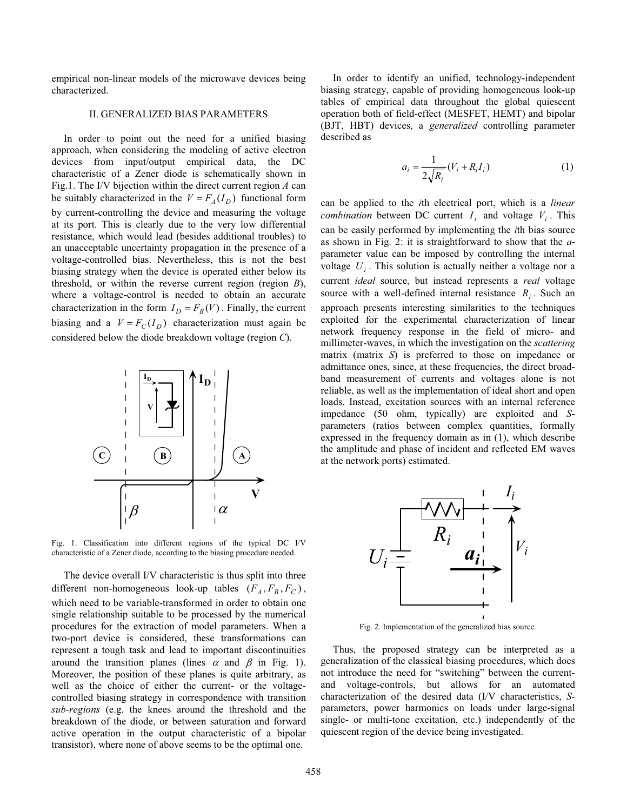empirical non-linear models of the microwave devices being characterized.

## II. GENERALIZED BIAS PARAMETERS

In order to point out the need for a unified biasing approach, when considering the modeling of active electron devices from input/output empirical data, the DC characteristic of a Zener diode is schematically shown in Fig.1. The I/V bijection within the direct current region *A* can be suitably characterized in the  $V = F_A(I_D)$  functional form by current-controlling the device and measuring the voltage at its port. This is clearly due to the very low differential resistance, which would lead (besides additional troubles) to an unacceptable uncertainty propagation in the presence of a voltage-controlled bias. Nevertheless, this is not the best biasing strategy when the device is operated either below its threshold, or within the reverse current region (region *B*), where a voltage-control is needed to obtain an accurate characterization in the form  $I_D = F_B(V)$ . Finally, the current biasing and a  $V = F_C(I_D)$  characterization must again be considered below the diode breakdown voltage (region *C*).



Fig. 1. Classification into different regions of the typical DC I/V characteristic of a Zener diode, according to the biasing procedure needed.

The device overall I/V characteristic is thus split into three different non-homogeneous look-up tables  $(F_A, F_B, F_C)$ , which need to be variable-transformed in order to obtain one single relationship suitable to be processed by the numerical procedures for the extraction of model parameters. When a two-port device is considered, these transformations can represent a tough task and lead to important discontinuities around the transition planes (lines  $\alpha$  and  $\beta$  in Fig. 1). Moreover, the position of these planes is quite arbitrary, as well as the choice of either the current- or the voltagecontrolled biasing strategy in correspondence with transition *sub-regions* (e.g. the knees around the threshold and the breakdown of the diode, or between saturation and forward active operation in the output characteristic of a bipolar transistor), where none of above seems to be the optimal one.

In order to identify an unified, technology-independent biasing strategy, capable of providing homogeneous look-up tables of empirical data throughout the global quiescent operation both of field-effect (MESFET, HEMT) and bipolar (BJT, HBT) devices, a *generalized* controlling parameter described as

$$
a_i = \frac{1}{2\sqrt{R_i}}(V_i + R_i I_i)
$$
 (1)

can be applied to the *i*th electrical port, which is a *linear combination* between DC current  $I_i$  and voltage  $V_i$ . This can be easily performed by implementing the *i*th bias source as shown in Fig. 2: it is straightforward to show that the *a*parameter value can be imposed by controlling the internal voltage  $U_i$ . This solution is actually neither a voltage nor a current *ideal* source, but instead represents a *real* voltage source with a well-defined internal resistance *R<sub>i</sub>*. Such an approach presents interesting similarities to the techniques exploited for the experimental characterization of linear network frequency response in the field of micro- and millimeter-waves, in which the investigation on the *scattering* matrix (matrix *S*) is preferred to those on impedance or admittance ones, since, at these frequencies, the direct broadband measurement of currents and voltages alone is not reliable, as well as the implementation of ideal short and open loads. Instead, excitation sources with an internal reference impedance (50 ohm, typically) are exploited and *S*parameters (ratios between complex quantities, formally expressed in the frequency domain as in (1), which describe the amplitude and phase of incident and reflected EM waves at the network ports) estimated.



Fig. 2. Implementation of the generalized bias source.

Thus, the proposed strategy can be interpreted as a generalization of the classical biasing procedures, which does not introduce the need for "switching" between the currentand voltage-controls, but allows for an automated characterization of the desired data (I/V characteristics, *S*parameters, power harmonics on loads under large-signal single- or multi-tone excitation, etc.) independently of the quiescent region of the device being investigated.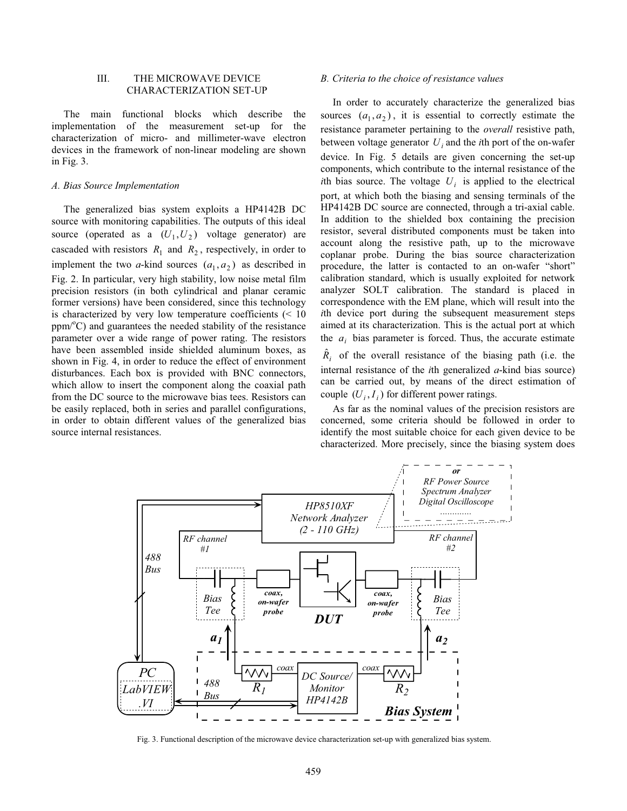### III. THE MICROWAVE DEVICE CHARACTERIZATION SET-UP

The main functional blocks which describe the implementation of the measurement set-up for the characterization of micro- and millimeter-wave electron devices in the framework of non-linear modeling are shown in Fig. 3.

#### *A. Bias Source Implementation*

The generalized bias system exploits a HP4142B DC source with monitoring capabilities. The outputs of this ideal source (operated as a  $(U_1, U_2)$  voltage generator) are cascaded with resistors  $R_1$  and  $R_2$ , respectively, in order to implement the two *a*-kind sources  $(a_1, a_2)$  as described in Fig. 2. In particular, very high stability, low noise metal film precision resistors (in both cylindrical and planar ceramic former versions) have been considered, since this technology is characterized by very low temperature coefficients  $(< 10$ ppm/°C) and guarantees the needed stability of the resistance parameter over a wide range of power rating. The resistors have been assembled inside shielded aluminum boxes, as shown in Fig. 4, in order to reduce the effect of environment disturbances. Each box is provided with BNC connectors, which allow to insert the component along the coaxial path from the DC source to the microwave bias tees. Resistors can be easily replaced, both in series and parallel configurations, in order to obtain different values of the generalized bias source internal resistances.

#### *B. Criteria to the choice of resistance values*

In order to accurately characterize the generalized bias sources  $(a_1, a_2)$ , it is essential to correctly estimate the resistance parameter pertaining to the *overall* resistive path, between voltage generator  $U_i$  and the *i*th port of the on-wafer device. In Fig. 5 details are given concerning the set-up components, which contribute to the internal resistance of the *i*th bias source. The voltage  $U_i$  is applied to the electrical port, at which both the biasing and sensing terminals of the HP4142B DC source are connected, through a tri-axial cable. In addition to the shielded box containing the precision resistor, several distributed components must be taken into account along the resistive path, up to the microwave coplanar probe. During the bias source characterization procedure, the latter is contacted to an on-wafer "short" calibration standard, which is usually exploited for network analyzer SOLT calibration. The standard is placed in correspondence with the EM plane, which will result into the *i*th device port during the subsequent measurement steps aimed at its characterization. This is the actual port at which the  $a_i$  bias parameter is forced. Thus, the accurate estimate

 $\hat{R}_i$  of the overall resistance of the biasing path (i.e. the internal resistance of the *i*th generalized *a*-kind bias source) can be carried out, by means of the direct estimation of couple  $(U_i, I_i)$  for different power ratings.

As far as the nominal values of the precision resistors are concerned, some criteria should be followed in order to identify the most suitable choice for each given device to be characterized. More precisely, since the biasing system does



Fig. 3. Functional description of the microwave device characterization set-up with generalized bias system.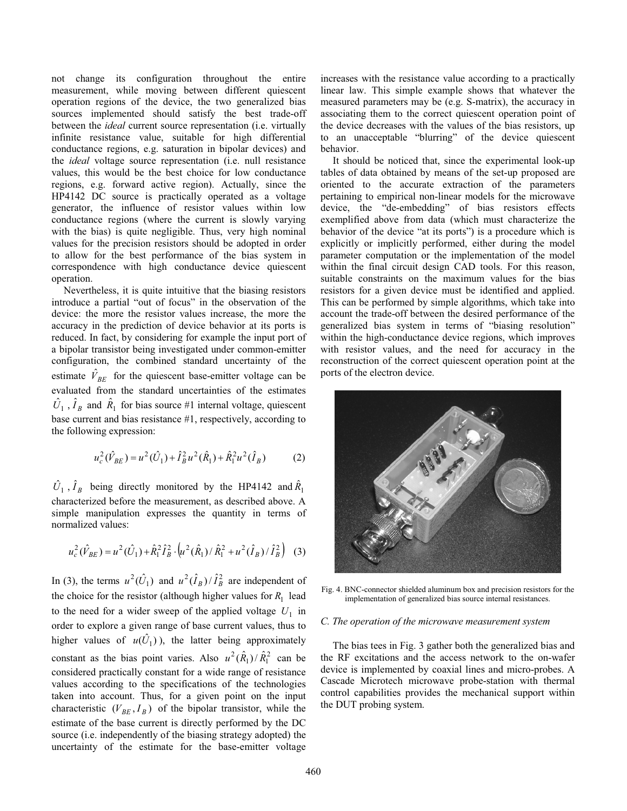not change its configuration throughout the entire measurement, while moving between different quiescent operation regions of the device, the two generalized bias sources implemented should satisfy the best trade-off between the *ideal* current source representation (i.e. virtually infinite resistance value, suitable for high differential conductance regions, e.g. saturation in bipolar devices) and the *ideal* voltage source representation (i.e. null resistance values, this would be the best choice for low conductance regions, e.g. forward active region). Actually, since the HP4142 DC source is practically operated as a voltage generator, the influence of resistor values within low conductance regions (where the current is slowly varying with the bias) is quite negligible. Thus, very high nominal values for the precision resistors should be adopted in order to allow for the best performance of the bias system in correspondence with high conductance device quiescent operation.

Nevertheless, it is quite intuitive that the biasing resistors introduce a partial "out of focus" in the observation of the device: the more the resistor values increase, the more the accuracy in the prediction of device behavior at its ports is reduced. In fact, by considering for example the input port of a bipolar transistor being investigated under common-emitter configuration, the combined standard uncertainty of the estimate  $\hat{V}_{BE}$  for the quiescent base-emitter voltage can be evaluated from the standard uncertainties of the estimates  $\hat{U}_1$ ,  $\hat{I}_B$  and  $\hat{R}_1$  for bias source #1 internal voltage, quiescent base current and bias resistance #1, respectively, according to the following expression:

$$
u_c^2(\hat{V}_{BE}) = u^2(\hat{U}_1) + \hat{I}_B^2 u^2(\hat{R}_1) + \hat{R}_1^2 u^2(\hat{I}_B)
$$
 (2)

 $\hat{U}_1$ ,  $\hat{I}_B$  being directly monitored by the HP4142 and  $\hat{R}_1$ characterized before the measurement, as described above. A simple manipulation expresses the quantity in terms of normalized values:

$$
u_c^2(\hat{V}_{BE}) = u^2(\hat{U}_1) + \hat{R}_1^2 \hat{I}_B^2 \cdot \left(u^2(\hat{R}_1) / \hat{R}_1^2 + u^2(\hat{I}_B) / \hat{I}_B^2\right)
$$
 (3)

In (3), the terms  $u^2(\hat{U}_1)$  and  $u^2(\hat{I}_B)/\hat{I}_B^2$  are independent of the choice for the resistor (although higher values for  $R_1$  lead to the need for a wider sweep of the applied voltage  $U_1$  in order to explore a given range of base current values, thus to higher values of  $u(\hat{U}_1)$ , the latter being approximately constant as the bias point varies. Also  $u^2(\hat{R}_1)/\hat{R}_1^2$  can be considered practically constant for a wide range of resistance values according to the specifications of the technologies taken into account. Thus, for a given point on the input characteristic  $(V_{BE}, I_B)$  of the bipolar transistor, while the estimate of the base current is directly performed by the DC source (i.e. independently of the biasing strategy adopted) the uncertainty of the estimate for the base-emitter voltage

increases with the resistance value according to a practically linear law. This simple example shows that whatever the measured parameters may be (e.g. S-matrix), the accuracy in associating them to the correct quiescent operation point of the device decreases with the values of the bias resistors, up to an unacceptable "blurring" of the device quiescent behavior.

It should be noticed that, since the experimental look-up tables of data obtained by means of the set-up proposed are oriented to the accurate extraction of the parameters pertaining to empirical non-linear models for the microwave device, the "de-embedding" of bias resistors effects exemplified above from data (which must characterize the behavior of the device "at its ports") is a procedure which is explicitly or implicitly performed, either during the model parameter computation or the implementation of the model within the final circuit design CAD tools. For this reason, suitable constraints on the maximum values for the bias resistors for a given device must be identified and applied. This can be performed by simple algorithms, which take into account the trade-off between the desired performance of the generalized bias system in terms of "biasing resolution" within the high-conductance device regions, which improves with resistor values, and the need for accuracy in the reconstruction of the correct quiescent operation point at the ports of the electron device.



Fig. 4. BNC-connector shielded aluminum box and precision resistors for the implementation of generalized bias source internal resistances.

#### *C. The operation of the microwave measurement system*

The bias tees in Fig. 3 gather both the generalized bias and the RF excitations and the access network to the on-wafer device is implemented by coaxial lines and micro-probes. A Cascade Microtech microwave probe-station with thermal control capabilities provides the mechanical support within the DUT probing system.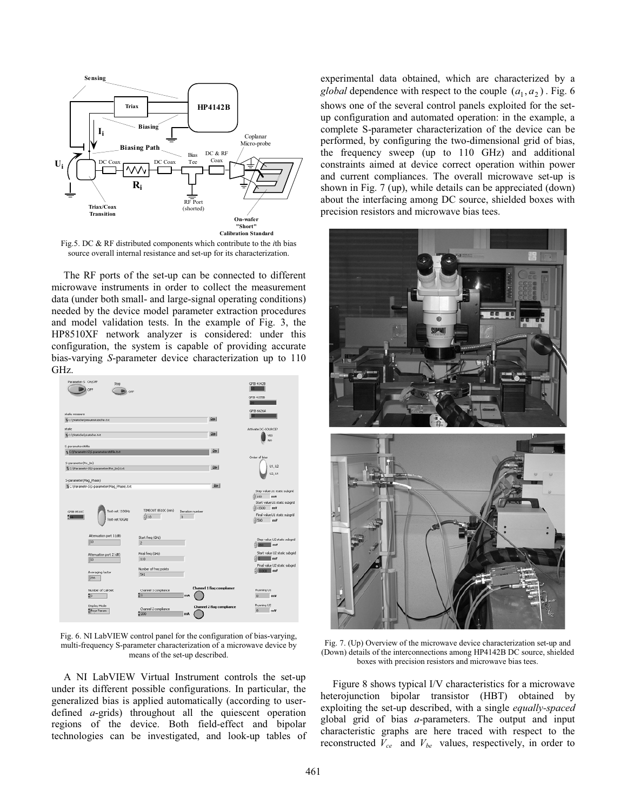

Fig.5. DC & RF distributed components which contribute to the *i*th bias source overall internal resistance and set-up for its characterization.

The RF ports of the set-up can be connected to different microwave instruments in order to collect the measurement data (under both small- and large-signal operating conditions) needed by the device model parameter extraction procedures and model validation tests. In the example of Fig. 3, the HP8510XF network analyzer is considered: under this configuration, the system is capable of providing accurate bias-varying *S*-parameter device characterization up to 110 GHz.



Fig. 6. NI LabVIEW control panel for the configuration of bias-varying, multi-frequency S-parameter characterization of a microwave device by means of the set-up described.

A NI LabVIEW Virtual Instrument controls the set-up under its different possible configurations. In particular, the generalized bias is applied automatically (according to userdefined *a*-grids) throughout all the quiescent operation regions of the device. Both field-effect and bipolar technologies can be investigated, and look-up tables of experimental data obtained, which are characterized by a *global* dependence with respect to the couple  $(a_1, a_2)$ . Fig. 6 shows one of the several control panels exploited for the setup configuration and automated operation: in the example, a complete S-parameter characterization of the device can be performed, by configuring the two-dimensional grid of bias, the frequency sweep (up to 110 GHz) and additional constraints aimed at device correct operation within power and current compliances. The overall microwave set-up is shown in Fig. 7 (up), while details can be appreciated (down) about the interfacing among DC source, shielded boxes with precision resistors and microwave bias tees.



Fig. 7. (Up) Overview of the microwave device characterization set-up and (Down) details of the interconnections among HP4142B DC source, shielded boxes with precision resistors and microwave bias tees.

Figure 8 shows typical I/V characteristics for a microwave heterojunction bipolar transistor (HBT) obtained by exploiting the set-up described, with a single *equally-spaced* global grid of bias *a*-parameters. The output and input characteristic graphs are here traced with respect to the reconstructed  $V_{ce}$  and  $V_{be}$  values, respectively, in order to